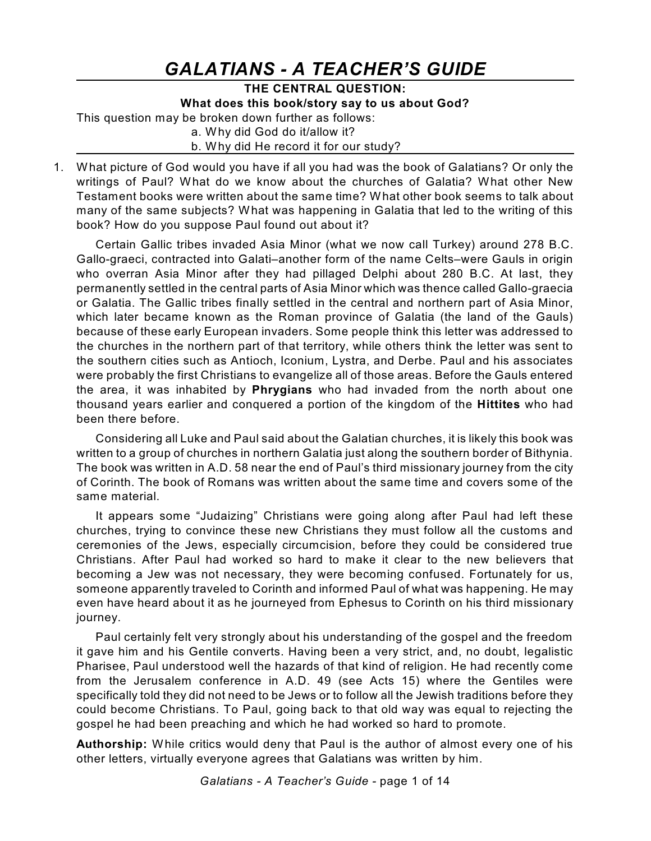# *GALATIANS - A TEACHER'S GUIDE*

**THE CENTRAL QUESTION: What does this book/story say to us about God?** This question may be broken down further as follows: a. Why did God do it/allow it? b. Why did He record it for our study?

1. What picture of God would you have if all you had was the book of Galatians? Or only the writings of Paul? What do we know about the churches of Galatia? What other New Testament books were written about the same time? What other book seems to talk about many of the same subjects? What was happening in Galatia that led to the writing of this book? How do you suppose Paul found out about it?

Certain Gallic tribes invaded Asia Minor (what we now call Turkey) around 278 B.C. Gallo-graeci, contracted into Galati–another form of the name Celts–were Gauls in origin who overran Asia Minor after they had pillaged Delphi about 280 B.C. At last, they permanently settled in the central parts of Asia Minor which was thence called Gallo-graecia or Galatia. The Gallic tribes finally settled in the central and northern part of Asia Minor, which later became known as the Roman province of Galatia (the land of the Gauls) because of these early European invaders. Some people think this letter was addressed to the churches in the northern part of that territory, while others think the letter was sent to the southern cities such as Antioch, Iconium, Lystra, and Derbe. Paul and his associates were probably the first Christians to evangelize all of those areas. Before the Gauls entered the area, it was inhabited by **Phrygians** who had invaded from the north about one thousand years earlier and conquered a portion of the kingdom of the **Hittites** who had been there before.

Considering all Luke and Paul said about the Galatian churches, it is likely this book was written to a group of churches in northern Galatia just along the southern border of Bithynia. The book was written in A.D. 58 near the end of Paul's third missionary journey from the city of Corinth. The book of Romans was written about the same time and covers some of the same material.

It appears some "Judaizing" Christians were going along after Paul had left these churches, trying to convince these new Christians they must follow all the customs and ceremonies of the Jews, especially circumcision, before they could be considered true Christians. After Paul had worked so hard to make it clear to the new believers that becoming a Jew was not necessary, they were becoming confused. Fortunately for us, someone apparently traveled to Corinth and informed Paul of what was happening. He may even have heard about it as he journeyed from Ephesus to Corinth on his third missionary journey.

Paul certainly felt very strongly about his understanding of the gospel and the freedom it gave him and his Gentile converts. Having been a very strict, and, no doubt, legalistic Pharisee, Paul understood well the hazards of that kind of religion. He had recently come from the Jerusalem conference in A.D. 49 (see Acts 15) where the Gentiles were specifically told they did not need to be Jews or to follow all the Jewish traditions before they could become Christians. To Paul, going back to that old way was equal to rejecting the gospel he had been preaching and which he had worked so hard to promote.

**Authorship:** While critics would deny that Paul is the author of almost every one of his other letters, virtually everyone agrees that Galatians was written by him.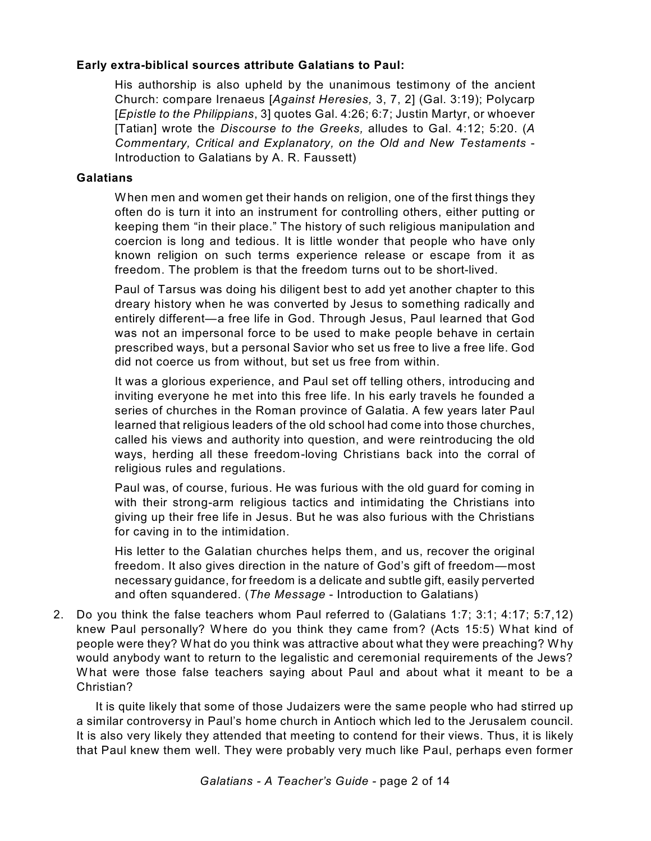## **Early extra-biblical sources attribute Galatians to Paul:**

His authorship is also upheld by the unanimous testimony of the ancient Church: compare Irenaeus [*Against Heresies,* 3, 7, 2] (Gal. 3:19); Polycarp [*Epistle to the Philippians*, 3] quotes Gal. 4:26; 6:7; Justin Martyr, or whoever [Tatian] wrote the *Discourse to the Greeks,* alludes to Gal. 4:12; 5:20. (*A Commentary, Critical and Explanatory, on the Old and New Testaments* - Introduction to Galatians by A. R. Faussett)

#### **Galatians**

When men and women get their hands on religion, one of the first things they often do is turn it into an instrument for controlling others, either putting or keeping them "in their place." The history of such religious manipulation and coercion is long and tedious. It is little wonder that people who have only known religion on such terms experience release or escape from it as freedom. The problem is that the freedom turns out to be short-lived.

Paul of Tarsus was doing his diligent best to add yet another chapter to this dreary history when he was converted by Jesus to something radically and entirely different—a free life in God. Through Jesus, Paul learned that God was not an impersonal force to be used to make people behave in certain prescribed ways, but a personal Savior who set us free to live a free life. God did not coerce us from without, but set us free from within.

It was a glorious experience, and Paul set off telling others, introducing and inviting everyone he met into this free life. In his early travels he founded a series of churches in the Roman province of Galatia. A few years later Paul learned that religious leaders of the old school had come into those churches, called his views and authority into question, and were reintroducing the old ways, herding all these freedom-loving Christians back into the corral of religious rules and regulations.

Paul was, of course, furious. He was furious with the old guard for coming in with their strong-arm religious tactics and intimidating the Christians into giving up their free life in Jesus. But he was also furious with the Christians for caving in to the intimidation.

His letter to the Galatian churches helps them, and us, recover the original freedom. It also gives direction in the nature of God's gift of freedom—most necessary guidance, for freedom is a delicate and subtle gift, easily perverted and often squandered. (*The Message* - Introduction to Galatians)

2. Do you think the false teachers whom Paul referred to (Galatians 1:7; 3:1; 4:17; 5:7,12) knew Paul personally? Where do you think they came from? (Acts 15:5) What kind of people were they? What do you think was attractive about what they were preaching? Why would anybody want to return to the legalistic and ceremonial requirements of the Jews? What were those false teachers saying about Paul and about what it meant to be a Christian?

It is quite likely that some of those Judaizers were the same people who had stirred up a similar controversy in Paul's home church in Antioch which led to the Jerusalem council. It is also very likely they attended that meeting to contend for their views. Thus, it is likely that Paul knew them well. They were probably very much like Paul, perhaps even former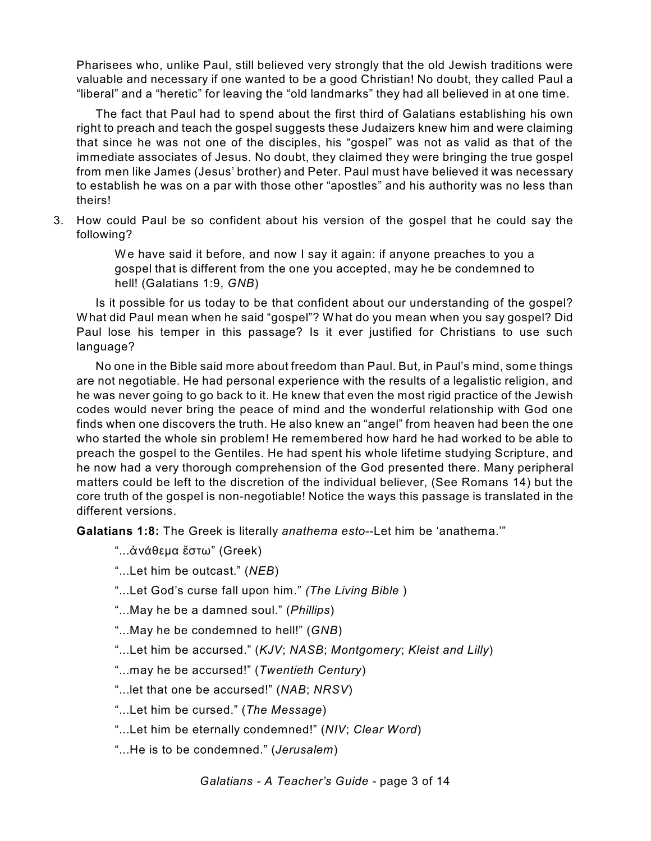Pharisees who, unlike Paul, still believed very strongly that the old Jewish traditions were valuable and necessary if one wanted to be a good Christian! No doubt, they called Paul a "liberal" and a "heretic" for leaving the "old landmarks" they had all believed in at one time.

The fact that Paul had to spend about the first third of Galatians establishing his own right to preach and teach the gospel suggests these Judaizers knew him and were claiming that since he was not one of the disciples, his "gospel" was not as valid as that of the immediate associates of Jesus. No doubt, they claimed they were bringing the true gospel from men like James (Jesus' brother) and Peter. Paul must have believed it was necessary to establish he was on a par with those other "apostles" and his authority was no less than theirs!

3. How could Paul be so confident about his version of the gospel that he could say the following?

> We have said it before, and now I say it again: if anyone preaches to you a gospel that is different from the one you accepted, may he be condemned to hell! (Galatians 1:9, *GNB*)

Is it possible for us today to be that confident about our understanding of the gospel? What did Paul mean when he said "gospel"? What do you mean when you say gospel? Did Paul lose his temper in this passage? Is it ever justified for Christians to use such language?

No one in the Bible said more about freedom than Paul. But, in Paul's mind, some things are not negotiable. He had personal experience with the results of a legalistic religion, and he was never going to go back to it. He knew that even the most rigid practice of the Jewish codes would never bring the peace of mind and the wonderful relationship with God one finds when one discovers the truth. He also knew an "angel" from heaven had been the one who started the whole sin problem! He remembered how hard he had worked to be able to preach the gospel to the Gentiles. He had spent his whole lifetime studying Scripture, and he now had a very thorough comprehension of the God presented there. Many peripheral matters could be left to the discretion of the individual believer, (See Romans 14) but the core truth of the gospel is non-negotiable! Notice the ways this passage is translated in the different versions.

**Galatians 1:8:** The Greek is literally *anathema esto*--Let him be 'anathema.'"

"...ἀνάθεμα ἔστω" (Greek)

- "...Let him be outcast." (*NEB*)
- "...Let God's curse fall upon him." *(The Living Bible* )
- "...May he be a damned soul." (*Phillips*)
- "...May he be condemned to hell!" (*GNB*)
- "...Let him be accursed." (*KJV*; *NASB*; *Montgomery*; *Kleist and Lilly*)
- "...may he be accursed!" (*Twentieth Century*)
- "...let that one be accursed!" (*NAB*; *NRSV*)
- "...Let him be cursed." (*The Message*)
- "...Let him be eternally condemned!" (*NIV*; *Clear Word*)
- "...He is to be condemned." (*Jerusalem*)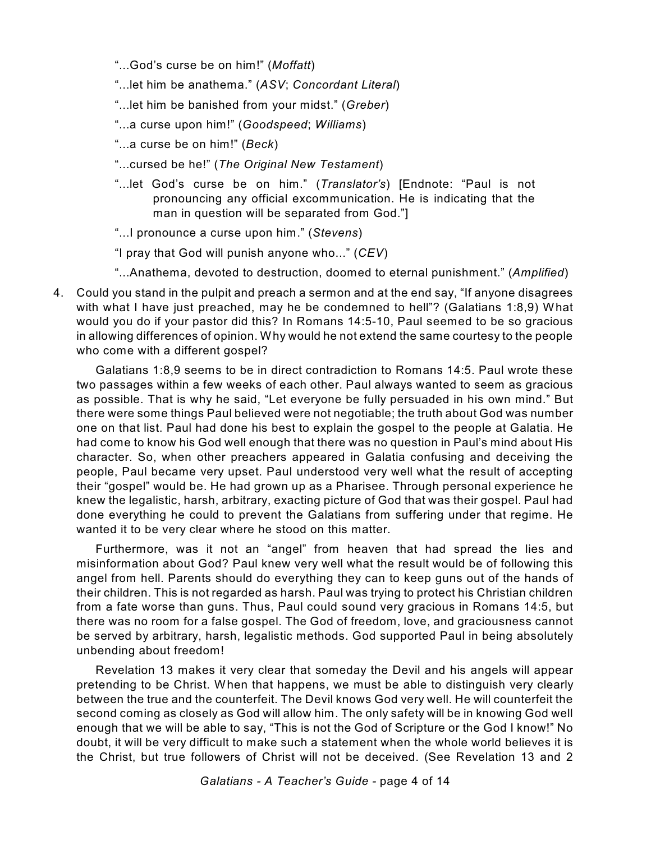- "...God's curse be on him!" (*Moffatt*)
- "...let him be anathema." (*ASV*; *Concordant Literal*)
- "...let him be banished from your midst." (*Greber*)
- "...a curse upon him!" (*Goodspeed*; *Williams*)
- "...a curse be on him!" (*Beck*)
- "...cursed be he!" (*The Original New Testament*)
- "...let God's curse be on him." (*Translator's*) [Endnote: "Paul is not pronouncing any official excommunication. He is indicating that the man in question will be separated from God."]
- "...I pronounce a curse upon him." (*Stevens*)
- "I pray that God will punish anyone who..." (*CEV*)
- "...Anathema, devoted to destruction, doomed to eternal punishment." (*Amplified*)
- 4. Could you stand in the pulpit and preach a sermon and at the end say, "If anyone disagrees with what I have just preached, may he be condemned to hell"? (Galatians 1:8,9) What would you do if your pastor did this? In Romans 14:5-10, Paul seemed to be so gracious in allowing differences of opinion. Why would he not extend the same courtesy to the people who come with a different gospel?

Galatians 1:8,9 seems to be in direct contradiction to Romans 14:5. Paul wrote these two passages within a few weeks of each other. Paul always wanted to seem as gracious as possible. That is why he said, "Let everyone be fully persuaded in his own mind." But there were some things Paul believed were not negotiable; the truth about God was number one on that list. Paul had done his best to explain the gospel to the people at Galatia. He had come to know his God well enough that there was no question in Paul's mind about His character. So, when other preachers appeared in Galatia confusing and deceiving the people, Paul became very upset. Paul understood very well what the result of accepting their "gospel" would be. He had grown up as a Pharisee. Through personal experience he knew the legalistic, harsh, arbitrary, exacting picture of God that was their gospel. Paul had done everything he could to prevent the Galatians from suffering under that regime. He wanted it to be very clear where he stood on this matter.

Furthermore, was it not an "angel" from heaven that had spread the lies and misinformation about God? Paul knew very well what the result would be of following this angel from hell. Parents should do everything they can to keep guns out of the hands of their children. This is not regarded as harsh. Paul was trying to protect his Christian children from a fate worse than guns. Thus, Paul could sound very gracious in Romans 14:5, but there was no room for a false gospel. The God of freedom, love, and graciousness cannot be served by arbitrary, harsh, legalistic methods. God supported Paul in being absolutely unbending about freedom!

Revelation 13 makes it very clear that someday the Devil and his angels will appear pretending to be Christ. When that happens, we must be able to distinguish very clearly between the true and the counterfeit. The Devil knows God very well. He will counterfeit the second coming as closely as God will allow him. The only safety will be in knowing God well enough that we will be able to say, "This is not the God of Scripture or the God I know!" No doubt, it will be very difficult to make such a statement when the whole world believes it is the Christ, but true followers of Christ will not be deceived. (See Revelation 13 and 2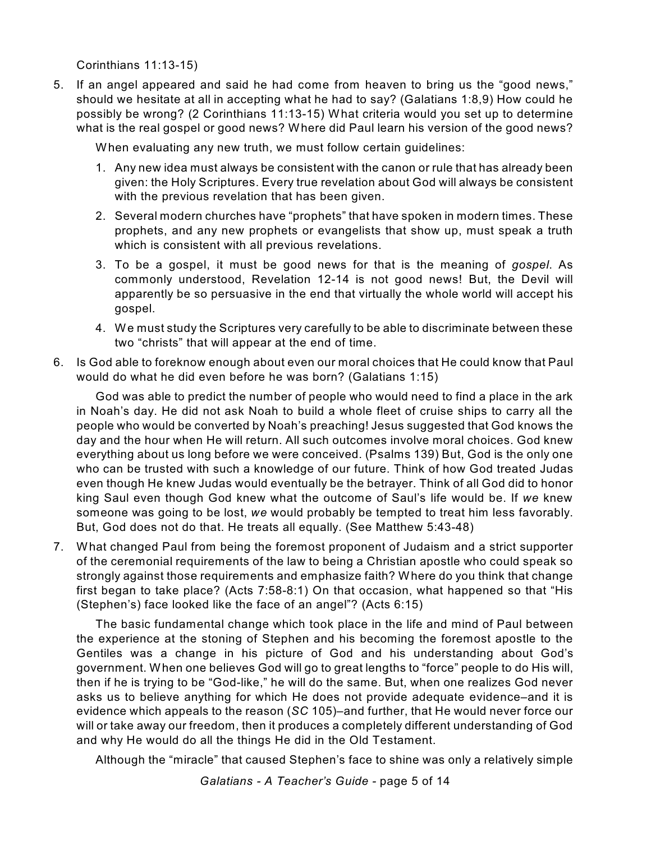Corinthians 11:13-15)

5. If an angel appeared and said he had come from heaven to bring us the "good news," should we hesitate at all in accepting what he had to say? (Galatians 1:8,9) How could he possibly be wrong? (2 Corinthians 11:13-15) What criteria would you set up to determine what is the real gospel or good news? Where did Paul learn his version of the good news?

When evaluating any new truth, we must follow certain guidelines:

- 1. Any new idea must always be consistent with the canon or rule that has already been given: the Holy Scriptures. Every true revelation about God will always be consistent with the previous revelation that has been given.
- 2. Several modern churches have "prophets" that have spoken in modern times. These prophets, and any new prophets or evangelists that show up, must speak a truth which is consistent with all previous revelations.
- 3. To be a gospel, it must be good news for that is the meaning of *gospel*. As commonly understood, Revelation 12-14 is not good news! But, the Devil will apparently be so persuasive in the end that virtually the whole world will accept his gospel.
- 4. We must study the Scriptures very carefully to be able to discriminate between these two "christs" that will appear at the end of time.
- 6. Is God able to foreknow enough about even our moral choices that He could know that Paul would do what he did even before he was born? (Galatians 1:15)

God was able to predict the number of people who would need to find a place in the ark in Noah's day. He did not ask Noah to build a whole fleet of cruise ships to carry all the people who would be converted by Noah's preaching! Jesus suggested that God knows the day and the hour when He will return. All such outcomes involve moral choices. God knew everything about us long before we were conceived. (Psalms 139) But, God is the only one who can be trusted with such a knowledge of our future. Think of how God treated Judas even though He knew Judas would eventually be the betrayer. Think of all God did to honor king Saul even though God knew what the outcome of Saul's life would be. If *we* knew someone was going to be lost, *we* would probably be tempted to treat him less favorably. But, God does not do that. He treats all equally. (See Matthew 5:43-48)

7. What changed Paul from being the foremost proponent of Judaism and a strict supporter of the ceremonial requirements of the law to being a Christian apostle who could speak so strongly against those requirements and emphasize faith? Where do you think that change first began to take place? (Acts 7:58-8:1) On that occasion, what happened so that "His (Stephen's) face looked like the face of an angel"? (Acts 6:15)

The basic fundamental change which took place in the life and mind of Paul between the experience at the stoning of Stephen and his becoming the foremost apostle to the Gentiles was a change in his picture of God and his understanding about God's government. When one believes God will go to great lengths to "force" people to do His will, then if he is trying to be "God-like," he will do the same. But, when one realizes God never asks us to believe anything for which He does not provide adequate evidence–and it is evidence which appeals to the reason (*SC* 105)–and further, that He would never force our will or take away our freedom, then it produces a completely different understanding of God and why He would do all the things He did in the Old Testament.

Although the "miracle" that caused Stephen's face to shine was only a relatively simple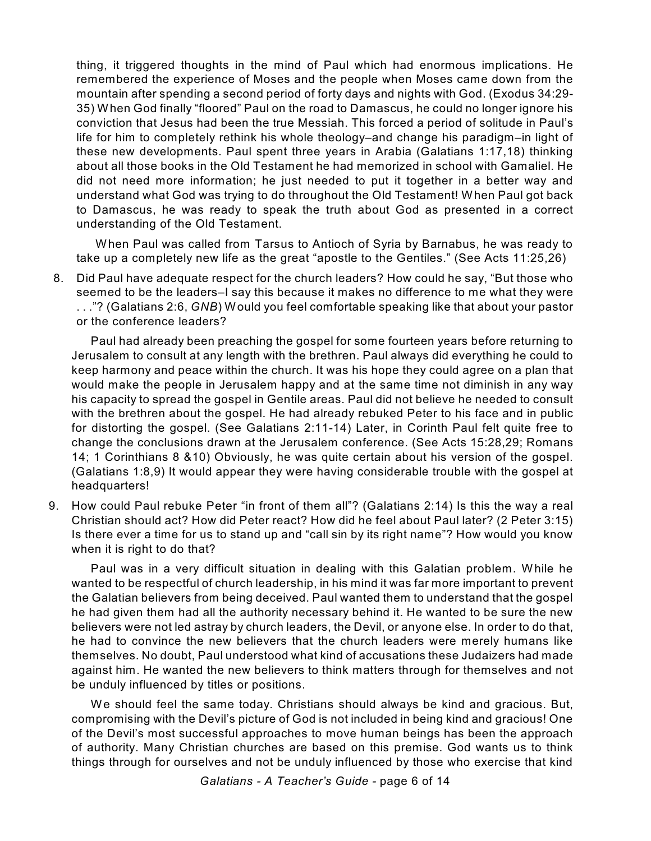thing, it triggered thoughts in the mind of Paul which had enormous implications. He remembered the experience of Moses and the people when Moses came down from the mountain after spending a second period of forty days and nights with God. (Exodus 34:29- 35) When God finally "floored" Paul on the road to Damascus, he could no longer ignore his conviction that Jesus had been the true Messiah. This forced a period of solitude in Paul's life for him to completely rethink his whole theology–and change his paradigm–in light of these new developments. Paul spent three years in Arabia (Galatians 1:17,18) thinking about all those books in the Old Testament he had memorized in school with Gamaliel. He did not need more information; he just needed to put it together in a better way and understand what God was trying to do throughout the Old Testament! When Paul got back to Damascus, he was ready to speak the truth about God as presented in a correct understanding of the Old Testament.

When Paul was called from Tarsus to Antioch of Syria by Barnabus, he was ready to take up a completely new life as the great "apostle to the Gentiles." (See Acts 11:25,26)

8. Did Paul have adequate respect for the church leaders? How could he say, "But those who seemed to be the leaders–I say this because it makes no difference to me what they were . . ."? (Galatians 2:6, *GNB*) Would you feel comfortable speaking like that about your pastor or the conference leaders?

Paul had already been preaching the gospel for some fourteen years before returning to Jerusalem to consult at any length with the brethren. Paul always did everything he could to keep harmony and peace within the church. It was his hope they could agree on a plan that would make the people in Jerusalem happy and at the same time not diminish in any way his capacity to spread the gospel in Gentile areas. Paul did not believe he needed to consult with the brethren about the gospel. He had already rebuked Peter to his face and in public for distorting the gospel. (See Galatians 2:11-14) Later, in Corinth Paul felt quite free to change the conclusions drawn at the Jerusalem conference. (See Acts 15:28,29; Romans 14; 1 Corinthians 8 &10) Obviously, he was quite certain about his version of the gospel. (Galatians 1:8,9) It would appear they were having considerable trouble with the gospel at headquarters!

9. How could Paul rebuke Peter "in front of them all"? (Galatians 2:14) Is this the way a real Christian should act? How did Peter react? How did he feel about Paul later? (2 Peter 3:15) Is there ever a time for us to stand up and "call sin by its right name"? How would you know when it is right to do that?

Paul was in a very difficult situation in dealing with this Galatian problem. While he wanted to be respectful of church leadership, in his mind it was far more important to prevent the Galatian believers from being deceived. Paul wanted them to understand that the gospel he had given them had all the authority necessary behind it. He wanted to be sure the new believers were not led astray by church leaders, the Devil, or anyone else. In order to do that, he had to convince the new believers that the church leaders were merely humans like themselves. No doubt, Paul understood what kind of accusations these Judaizers had made against him. He wanted the new believers to think matters through for themselves and not be unduly influenced by titles or positions.

We should feel the same today. Christians should always be kind and gracious. But, compromising with the Devil's picture of God is not included in being kind and gracious! One of the Devil's most successful approaches to move human beings has been the approach of authority. Many Christian churches are based on this premise. God wants us to think things through for ourselves and not be unduly influenced by those who exercise that kind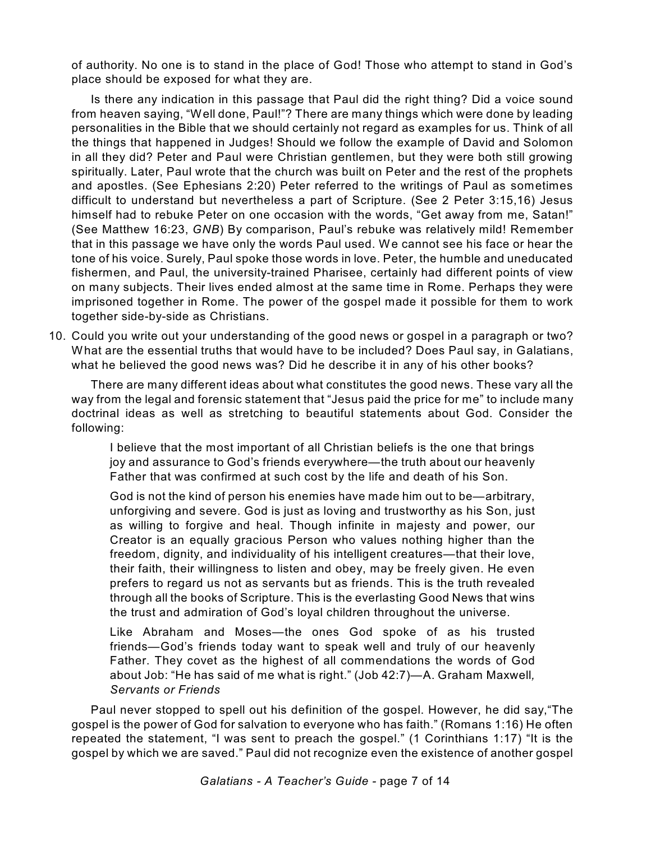of authority. No one is to stand in the place of God! Those who attempt to stand in God's place should be exposed for what they are.

Is there any indication in this passage that Paul did the right thing? Did a voice sound from heaven saying, "Well done, Paul!"? There are many things which were done by leading personalities in the Bible that we should certainly not regard as examples for us. Think of all the things that happened in Judges! Should we follow the example of David and Solomon in all they did? Peter and Paul were Christian gentlemen, but they were both still growing spiritually. Later, Paul wrote that the church was built on Peter and the rest of the prophets and apostles. (See Ephesians 2:20) Peter referred to the writings of Paul as sometimes difficult to understand but nevertheless a part of Scripture. (See 2 Peter 3:15,16) Jesus himself had to rebuke Peter on one occasion with the words, "Get away from me, Satan!" (See Matthew 16:23, *GNB*) By comparison, Paul's rebuke was relatively mild! Remember that in this passage we have only the words Paul used. We cannot see his face or hear the tone of his voice. Surely, Paul spoke those words in love. Peter, the humble and uneducated fishermen, and Paul, the university-trained Pharisee, certainly had different points of view on many subjects. Their lives ended almost at the same time in Rome. Perhaps they were imprisoned together in Rome. The power of the gospel made it possible for them to work together side-by-side as Christians.

10. Could you write out your understanding of the good news or gospel in a paragraph or two? What are the essential truths that would have to be included? Does Paul say, in Galatians, what he believed the good news was? Did he describe it in any of his other books?

There are many different ideas about what constitutes the good news. These vary all the way from the legal and forensic statement that "Jesus paid the price for me" to include many doctrinal ideas as well as stretching to beautiful statements about God. Consider the following:

I believe that the most important of all Christian beliefs is the one that brings joy and assurance to God's friends everywhere—the truth about our heavenly Father that was confirmed at such cost by the life and death of his Son.

God is not the kind of person his enemies have made him out to be—arbitrary, unforgiving and severe. God is just as loving and trustworthy as his Son, just as willing to forgive and heal. Though infinite in majesty and power, our Creator is an equally gracious Person who values nothing higher than the freedom, dignity, and individuality of his intelligent creatures—that their love, their faith, their willingness to listen and obey, may be freely given. He even prefers to regard us not as servants but as friends. This is the truth revealed through all the books of Scripture. This is the everlasting Good News that wins the trust and admiration of God's loyal children throughout the universe.

Like Abraham and Moses—the ones God spoke of as his trusted friends—God's friends today want to speak well and truly of our heavenly Father. They covet as the highest of all commendations the words of God about Job: "He has said of me what is right." (Job 42:7)—A. Graham Maxwell*, Servants or Friends*

Paul never stopped to spell out his definition of the gospel. However, he did say,"The gospel is the power of God for salvation to everyone who has faith." (Romans 1:16) He often repeated the statement, "I was sent to preach the gospel." (1 Corinthians 1:17) "It is the gospel by which we are saved." Paul did not recognize even the existence of another gospel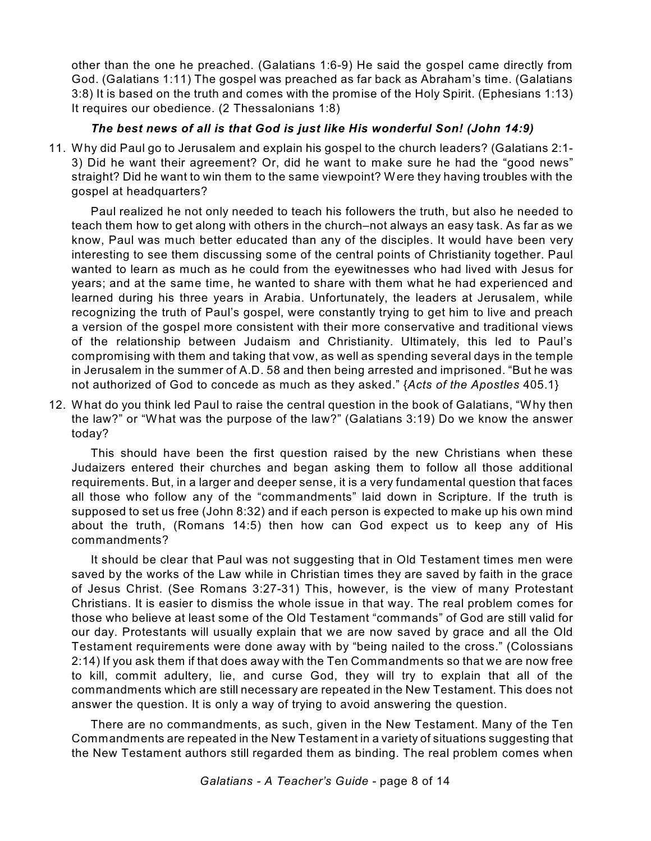other than the one he preached. (Galatians 1:6-9) He said the gospel came directly from God. (Galatians 1:11) The gospel was preached as far back as Abraham's time. (Galatians 3:8) It is based on the truth and comes with the promise of the Holy Spirit. (Ephesians 1:13) It requires our obedience. (2 Thessalonians 1:8)

## *The best news of all is that God is just like His wonderful Son! (John 14:9)*

11. Why did Paul go to Jerusalem and explain his gospel to the church leaders? (Galatians 2:1- 3) Did he want their agreement? Or, did he want to make sure he had the "good news" straight? Did he want to win them to the same viewpoint? Were they having troubles with the gospel at headquarters?

Paul realized he not only needed to teach his followers the truth, but also he needed to teach them how to get along with others in the church–not always an easy task. As far as we know, Paul was much better educated than any of the disciples. It would have been very interesting to see them discussing some of the central points of Christianity together. Paul wanted to learn as much as he could from the eyewitnesses who had lived with Jesus for years; and at the same time, he wanted to share with them what he had experienced and learned during his three years in Arabia. Unfortunately, the leaders at Jerusalem, while recognizing the truth of Paul's gospel, were constantly trying to get him to live and preach a version of the gospel more consistent with their more conservative and traditional views of the relationship between Judaism and Christianity. Ultimately, this led to Paul's compromising with them and taking that vow, as well as spending several days in the temple in Jerusalem in the summer of A.D. 58 and then being arrested and imprisoned. "But he was not authorized of God to concede as much as they asked." {*Acts of the Apostles* 405.1}

12. What do you think led Paul to raise the central question in the book of Galatians, "Why then the law?" or "What was the purpose of the law?" (Galatians 3:19) Do we know the answer today?

This should have been the first question raised by the new Christians when these Judaizers entered their churches and began asking them to follow all those additional requirements. But, in a larger and deeper sense, it is a very fundamental question that faces all those who follow any of the "commandments" laid down in Scripture. If the truth is supposed to set us free (John 8:32) and if each person is expected to make up his own mind about the truth, (Romans 14:5) then how can God expect us to keep any of His commandments?

It should be clear that Paul was not suggesting that in Old Testament times men were saved by the works of the Law while in Christian times they are saved by faith in the grace of Jesus Christ. (See Romans 3:27-31) This, however, is the view of many Protestant Christians. It is easier to dismiss the whole issue in that way. The real problem comes for those who believe at least some of the Old Testament "commands" of God are still valid for our day. Protestants will usually explain that we are now saved by grace and all the Old Testament requirements were done away with by "being nailed to the cross." (Colossians 2:14) If you ask them if that does away with the Ten Commandments so that we are now free to kill, commit adultery, lie, and curse God, they will try to explain that all of the commandments which are still necessary are repeated in the New Testament. This does not answer the question. It is only a way of trying to avoid answering the question.

There are no commandments, as such, given in the New Testament. Many of the Ten Commandments are repeated in the New Testament in a variety of situations suggesting that the New Testament authors still regarded them as binding. The real problem comes when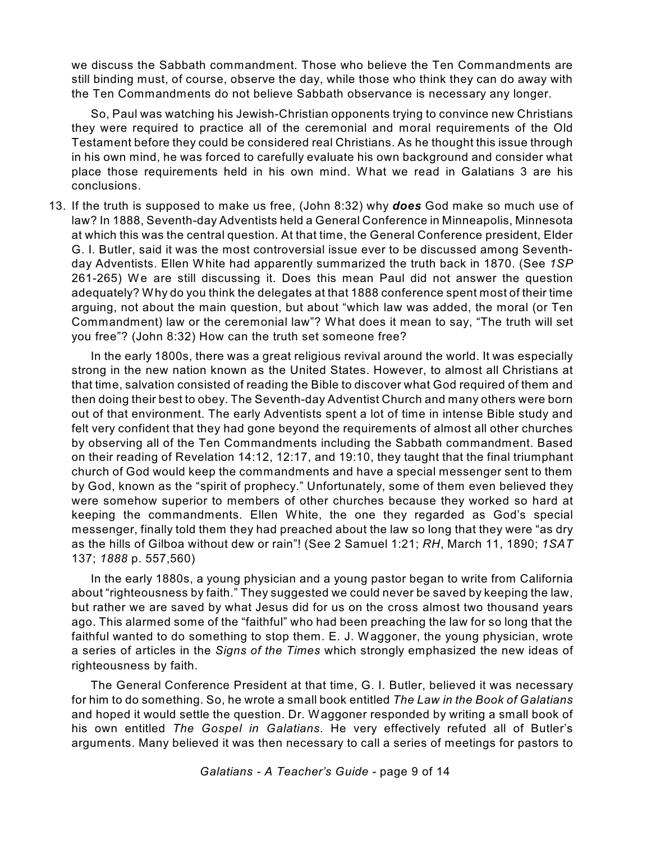we discuss the Sabbath commandment. Those who believe the Ten Commandments are still binding must, of course, observe the day, while those who think they can do away with the Ten Commandments do not believe Sabbath observance is necessary any longer.

So, Paul was watching his Jewish-Christian opponents trying to convince new Christians they were required to practice all of the ceremonial and moral requirements of the Old Testament before they could be considered real Christians. As he thought this issue through in his own mind, he was forced to carefully evaluate his own background and consider what place those requirements held in his own mind. What we read in Galatians 3 are his conclusions.

13. If the truth is supposed to make us free, (John 8:32) why *does* God make so much use of law? In 1888, Seventh-day Adventists held a General Conference in Minneapolis, Minnesota at which this was the central question. At that time, the General Conference president, Elder G. I. Butler, said it was the most controversial issue ever to be discussed among Seventhday Adventists. Ellen White had apparently summarized the truth back in 1870. (See *1SP* 261-265) We are still discussing it. Does this mean Paul did not answer the question adequately? Why do you think the delegates at that 1888 conference spent most of their time arguing, not about the main question, but about "which law was added, the moral (or Ten Commandment) law or the ceremonial law"? What does it mean to say, "The truth will set you free"? (John 8:32) How can the truth set someone free?

In the early 1800s, there was a great religious revival around the world. It was especially strong in the new nation known as the United States. However, to almost all Christians at that time, salvation consisted of reading the Bible to discover what God required of them and then doing their best to obey. The Seventh-day Adventist Church and many others were born out of that environment. The early Adventists spent a lot of time in intense Bible study and felt very confident that they had gone beyond the requirements of almost all other churches by observing all of the Ten Commandments including the Sabbath commandment. Based on their reading of Revelation 14:12, 12:17, and 19:10, they taught that the final triumphant church of God would keep the commandments and have a special messenger sent to them by God, known as the "spirit of prophecy." Unfortunately, some of them even believed they were somehow superior to members of other churches because they worked so hard at keeping the commandments. Ellen White, the one they regarded as God's special messenger, finally told them they had preached about the law so long that they were "as dry as the hills of Gilboa without dew or rain"! (See 2 Samuel 1:21; *RH*, March 11, 1890; *1SAT* 137; *1888* p. 557,560)

In the early 1880s, a young physician and a young pastor began to write from California about "righteousness by faith." They suggested we could never be saved by keeping the law, but rather we are saved by what Jesus did for us on the cross almost two thousand years ago. This alarmed some of the "faithful" who had been preaching the law for so long that the faithful wanted to do something to stop them. E. J. Waggoner, the young physician, wrote a series of articles in the *Signs of the Times* which strongly emphasized the new ideas of righteousness by faith.

The General Conference President at that time, G. I. Butler, believed it was necessary for him to do something. So, he wrote a small book entitled *The Law in the Book of Galatians* and hoped it would settle the question. Dr. Waggoner responded by writing a small book of his own entitled *The Gospel in Galatians*. He very effectively refuted all of Butler's arguments. Many believed it was then necessary to call a series of meetings for pastors to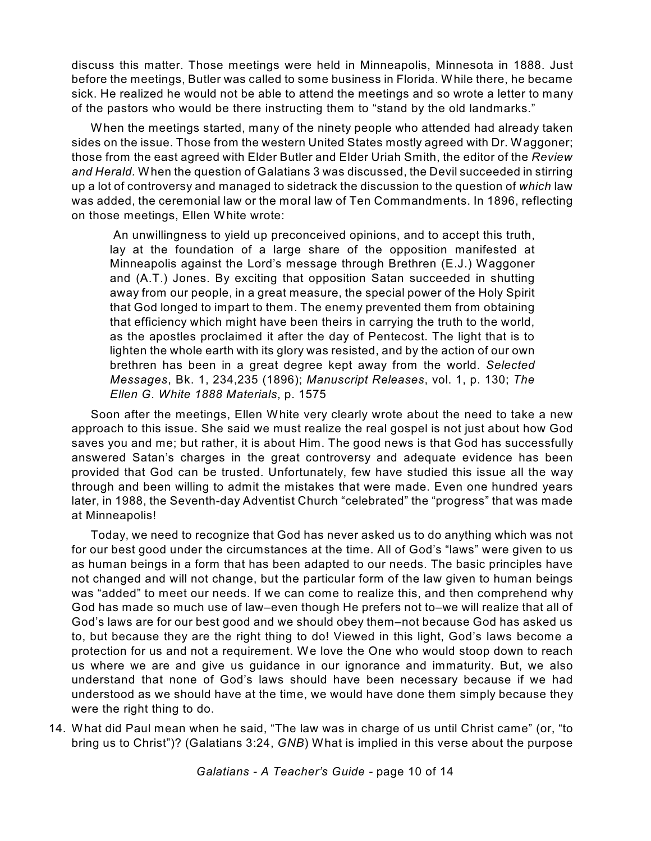discuss this matter. Those meetings were held in Minneapolis, Minnesota in 1888. Just before the meetings, Butler was called to some business in Florida. While there, he became sick. He realized he would not be able to attend the meetings and so wrote a letter to many of the pastors who would be there instructing them to "stand by the old landmarks."

When the meetings started, many of the ninety people who attended had already taken sides on the issue. Those from the western United States mostly agreed with Dr. Waggoner; those from the east agreed with Elder Butler and Elder Uriah Smith, the editor of the *Review and Herald.* When the question of Galatians 3 was discussed, the Devil succeeded in stirring up a lot of controversy and managed to sidetrack the discussion to the question of *which* law was added, the ceremonial law or the moral law of Ten Commandments. In 1896, reflecting on those meetings, Ellen White wrote:

An unwillingness to yield up preconceived opinions, and to accept this truth, lay at the foundation of a large share of the opposition manifested at Minneapolis against the Lord's message through Brethren (E.J.) Waggoner and (A.T.) Jones. By exciting that opposition Satan succeeded in shutting away from our people, in a great measure, the special power of the Holy Spirit that God longed to impart to them. The enemy prevented them from obtaining that efficiency which might have been theirs in carrying the truth to the world, as the apostles proclaimed it after the day of Pentecost. The light that is to lighten the whole earth with its glory was resisted, and by the action of our own brethren has been in a great degree kept away from the world. *Selected Messages*, Bk. 1, 234,235 (1896); *Manuscript Releases*, vol. 1, p. 130; *The Ellen G. White 1888 Materials*, p. 1575

Soon after the meetings, Ellen White very clearly wrote about the need to take a new approach to this issue. She said we must realize the real gospel is not just about how God saves you and me; but rather, it is about Him. The good news is that God has successfully answered Satan's charges in the great controversy and adequate evidence has been provided that God can be trusted. Unfortunately, few have studied this issue all the way through and been willing to admit the mistakes that were made. Even one hundred years later, in 1988, the Seventh-day Adventist Church "celebrated" the "progress" that was made at Minneapolis!

Today, we need to recognize that God has never asked us to do anything which was not for our best good under the circumstances at the time. All of God's "laws" were given to us as human beings in a form that has been adapted to our needs. The basic principles have not changed and will not change, but the particular form of the law given to human beings was "added" to meet our needs. If we can come to realize this, and then comprehend why God has made so much use of law–even though He prefers not to–we will realize that all of God's laws are for our best good and we should obey them–not because God has asked us to, but because they are the right thing to do! Viewed in this light, God's laws become a protection for us and not a requirement. We love the One who would stoop down to reach us where we are and give us guidance in our ignorance and immaturity. But, we also understand that none of God's laws should have been necessary because if we had understood as we should have at the time, we would have done them simply because they were the right thing to do.

14. What did Paul mean when he said, "The law was in charge of us until Christ came" (or, "to bring us to Christ")? (Galatians 3:24, *GNB*) What is implied in this verse about the purpose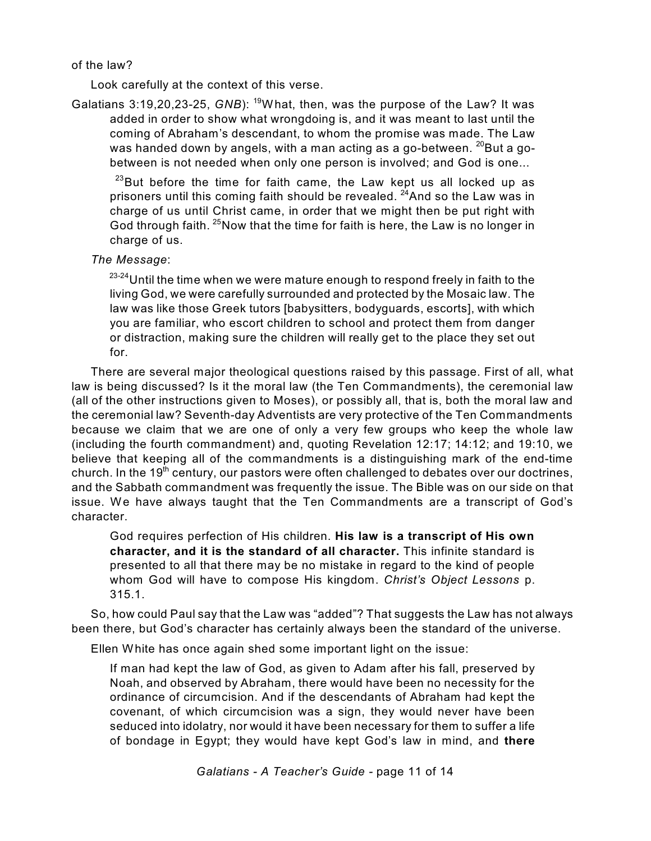of the law?

Look carefully at the context of this verse.

Galatians 3:19,20,23-25, GNB): <sup>19</sup>What, then, was the purpose of the Law? It was added in order to show what wrongdoing is, and it was meant to last until the coming of Abraham's descendant, to whom the promise was made. The Law was handed down by angels, with a man acting as a go-between.  $^{20}\!$ But a gobetween is not needed when only one person is involved; and God is one...

 $^{23}$ But before the time for faith came, the Law kept us all locked up as prisoners until this coming faith should be revealed.  $^{24}$ And so the Law was in charge of us until Christ came, in order that we might then be put right with God through faith. <sup>25</sup>Now that the time for faith is here, the Law is no longer in charge of us.

## *The Message*:

 $^{23\text{-}24}$ Until the time when we were mature enough to respond freely in faith to the living God, we were carefully surrounded and protected by the Mosaic law. The law was like those Greek tutors [babysitters, bodyguards, escorts], with which you are familiar, who escort children to school and protect them from danger or distraction, making sure the children will really get to the place they set out for.

There are several major theological questions raised by this passage. First of all, what law is being discussed? Is it the moral law (the Ten Commandments), the ceremonial law (all of the other instructions given to Moses), or possibly all, that is, both the moral law and the ceremonial law? Seventh-day Adventists are very protective of the Ten Commandments because we claim that we are one of only a very few groups who keep the whole law (including the fourth commandment) and, quoting Revelation 12:17; 14:12; and 19:10, we believe that keeping all of the commandments is a distinguishing mark of the end-time church. In the 19 $^{\text{th}}$  century, our pastors were often challenged to debates over our doctrines, and the Sabbath commandment was frequently the issue. The Bible was on our side on that issue. We have always taught that the Ten Commandments are a transcript of God's character.

God requires perfection of His children. **His law is a transcript of His own character, and it is the standard of all character.** This infinite standard is presented to all that there may be no mistake in regard to the kind of people whom God will have to compose His kingdom. *Christ's Object Lessons* p. 315.1.

So, how could Paul say that the Law was "added"? That suggests the Law has not always been there, but God's character has certainly always been the standard of the universe.

Ellen White has once again shed some important light on the issue:

If man had kept the law of God, as given to Adam after his fall, preserved by Noah, and observed by Abraham, there would have been no necessity for the ordinance of circumcision. And if the descendants of Abraham had kept the covenant, of which circumcision was a sign, they would never have been seduced into idolatry, nor would it have been necessary for them to suffer a life of bondage in Egypt; they would have kept God's law in mind, and **there**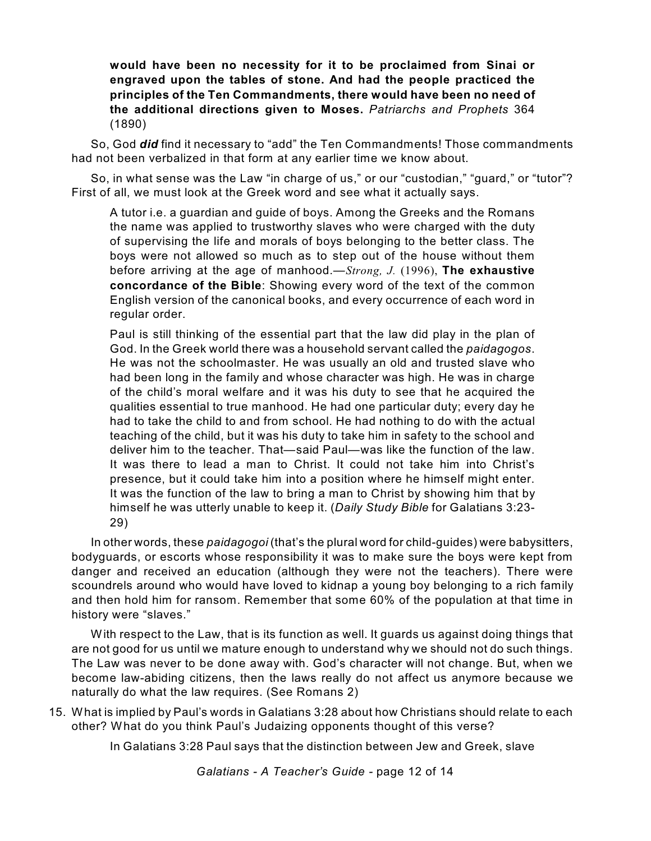**would have been no necessity for it to be proclaimed from Sinai or engraved upon the tables of stone. And had the people practiced the principles of the Ten Commandments, there would have been no need of the additional directions given to Moses.** *Patriarchs and Prophets* 364 (1890)

So, God *did* find it necessary to "add" the Ten Commandments! Those commandments had not been verbalized in that form at any earlier time we know about.

So, in what sense was the Law "in charge of us," or our "custodian," "guard," or "tutor"? First of all, we must look at the Greek word and see what it actually says.

A tutor i.e. a guardian and guide of boys. Among the Greeks and the Romans the name was applied to trustworthy slaves who were charged with the duty of supervising the life and morals of boys belonging to the better class. The boys were not allowed so much as to step out of the house without them before arriving at the age of manhood.—*Strong, J.* (1996), **The exhaustive concordance of the Bible**: Showing every word of the text of the common English version of the canonical books, and every occurrence of each word in regular order.

Paul is still thinking of the essential part that the law did play in the plan of God. In the Greek world there was a household servant called the *paidagogos*. He was not the schoolmaster. He was usually an old and trusted slave who had been long in the family and whose character was high. He was in charge of the child's moral welfare and it was his duty to see that he acquired the qualities essential to true manhood. He had one particular duty; every day he had to take the child to and from school. He had nothing to do with the actual teaching of the child, but it was his duty to take him in safety to the school and deliver him to the teacher. That—said Paul—was like the function of the law. It was there to lead a man to Christ. It could not take him into Christ's presence, but it could take him into a position where he himself might enter. It was the function of the law to bring a man to Christ by showing him that by himself he was utterly unable to keep it. (*Daily Study Bible* for Galatians 3:23- 29)

In other words, these *paidagogoi* (that's the plural word for child-guides) were babysitters, bodyguards, or escorts whose responsibility it was to make sure the boys were kept from danger and received an education (although they were not the teachers). There were scoundrels around who would have loved to kidnap a young boy belonging to a rich family and then hold him for ransom. Remember that some 60% of the population at that time in history were "slaves."

With respect to the Law, that is its function as well. It guards us against doing things that are not good for us until we mature enough to understand why we should not do such things. The Law was never to be done away with. God's character will not change. But, when we become law-abiding citizens, then the laws really do not affect us anymore because we naturally do what the law requires. (See Romans 2)

15. What is implied by Paul's words in Galatians 3:28 about how Christians should relate to each other? What do you think Paul's Judaizing opponents thought of this verse?

In Galatians 3:28 Paul says that the distinction between Jew and Greek, slave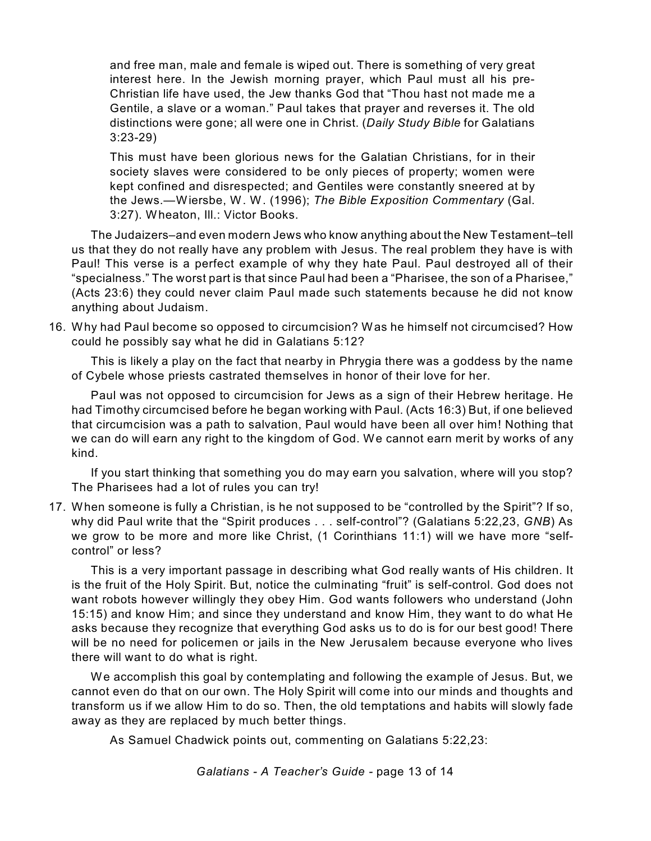and free man, male and female is wiped out. There is something of very great interest here. In the Jewish morning prayer, which Paul must all his pre-Christian life have used, the Jew thanks God that "Thou hast not made me a Gentile, a slave or a woman." Paul takes that prayer and reverses it. The old distinctions were gone; all were one in Christ. (*Daily Study Bible* for Galatians 3:23-29)

This must have been glorious news for the Galatian Christians, for in their society slaves were considered to be only pieces of property; women were kept confined and disrespected; and Gentiles were constantly sneered at by the Jews.—Wiersbe, W. W. (1996); *The Bible Exposition Commentary* (Gal. 3:27). Wheaton, Ill.: Victor Books.

The Judaizers–and even modern Jews who know anything about the New Testament–tell us that they do not really have any problem with Jesus. The real problem they have is with Paul! This verse is a perfect example of why they hate Paul. Paul destroyed all of their "specialness." The worst part is that since Paul had been a "Pharisee, the son of a Pharisee," (Acts 23:6) they could never claim Paul made such statements because he did not know anything about Judaism.

16. Why had Paul become so opposed to circumcision? Was he himself not circumcised? How could he possibly say what he did in Galatians 5:12?

This is likely a play on the fact that nearby in Phrygia there was a goddess by the name of Cybele whose priests castrated themselves in honor of their love for her.

Paul was not opposed to circumcision for Jews as a sign of their Hebrew heritage. He had Timothy circumcised before he began working with Paul. (Acts 16:3) But, if one believed that circumcision was a path to salvation, Paul would have been all over him! Nothing that we can do will earn any right to the kingdom of God. We cannot earn merit by works of any kind.

If you start thinking that something you do may earn you salvation, where will you stop? The Pharisees had a lot of rules you can try!

17. When someone is fully a Christian, is he not supposed to be "controlled by the Spirit"? If so, why did Paul write that the "Spirit produces . . . self-control"? (Galatians 5:22,23, *GNB*) As we grow to be more and more like Christ, (1 Corinthians 11:1) will we have more "selfcontrol" or less?

This is a very important passage in describing what God really wants of His children. It is the fruit of the Holy Spirit. But, notice the culminating "fruit" is self-control. God does not want robots however willingly they obey Him. God wants followers who understand (John 15:15) and know Him; and since they understand and know Him, they want to do what He asks because they recognize that everything God asks us to do is for our best good! There will be no need for policemen or jails in the New Jerusalem because everyone who lives there will want to do what is right.

We accomplish this goal by contemplating and following the example of Jesus. But, we cannot even do that on our own. The Holy Spirit will come into our minds and thoughts and transform us if we allow Him to do so. Then, the old temptations and habits will slowly fade away as they are replaced by much better things.

As Samuel Chadwick points out, commenting on Galatians 5:22,23: